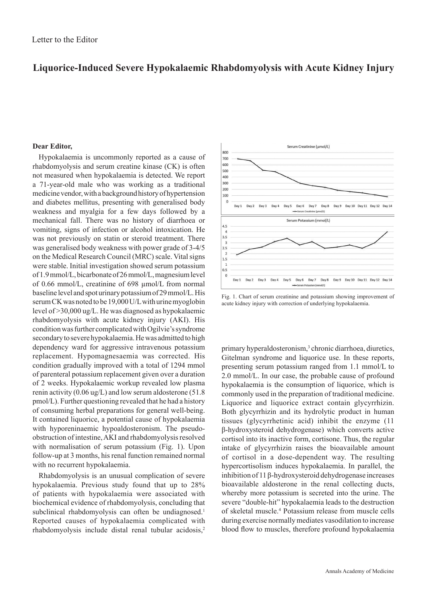## **Liquorice-Induced Severe Hypokalaemic Rhabdomyolysis with Acute Kidney Injury**

## **Dear Editor,**

Hypokalaemia is uncommonly reported as a cause of rhabdomyolysis and serum creatine kinase (CK) is often not measured when hypokalaemia is detected. We report a 71-year-old male who was working as a traditional medicine vendor, with a background history of hypertension and diabetes mellitus, presenting with generalised body weakness and myalgia for a few days followed by a mechanical fall. There was no history of diarrhoea or vomiting, signs of infection or alcohol intoxication. He was not previously on statin or steroid treatment. There was generalised body weakness with power grade of 3-4/5 on the Medical Research Council (MRC) scale. Vital signs were stable. Initial investigation showed serum potassium of 1.9 mmol/L, bicarbonate of 26 mmol/L, magnesium level of 0.66 mmol/L, creatinine of 698 µmol/L from normal baseline level and spot urinary potassium of 29 mmol/L. His serum CK was noted to be 19,000 U/L with urine myoglobin level of >30,000 ug/L. He was diagnosed as hypokalaemic rhabdomyolysis with acute kidney injury (AKI). His condition was further complicated with Ogilvie's syndrome secondary to severe hypokalaemia. He was admitted to high dependency ward for aggressive intravenous potassium replacement. Hypomagnesaemia was corrected. His condition gradually improved with a total of 1294 mmol of parenteral potassium replacement given over a duration of 2 weeks. Hypokalaemic workup revealed low plasma renin activity (0.06 ug/L) and low serum aldosterone (51.8 pmol/L). Further questioning revealed that he had a history of consuming herbal preparations for general well-being. It contained liquorice, a potential cause of hypokalaemia with hyporeninaemic hypoaldosteronism. The pseudoobstruction of intestine, AKI and rhabdomyolysis resolved with normalisation of serum potassium (Fig. 1). Upon follow-up at 3 months, his renal function remained normal with no recurrent hypokalaemia.

Rhabdomyolysis is an unusual complication of severe hypokalaemia. Previous study found that up to 28% of patients with hypokalaemia were associated with biochemical evidence of rhabdomyolysis, concluding that subclinical rhabdomyolysis can often be undiagnosed.<sup>1</sup> Reported causes of hypokalaemia complicated with rhabdomyolysis include distal renal tubular acidosis,<sup>2</sup>



Fig. 1. Chart of serum creatinine and potassium showing improvement of acute kidney injury with correction of underlying hypokalaemia.

primary hyperaldosteronism,<sup>3</sup> chronic diarrhoea, diuretics, Gitelman syndrome and liquorice use. In these reports, presenting serum potassium ranged from 1.1 mmol/L to 2.0 mmol/L. In our case, the probable cause of profound hypokalaemia is the consumption of liquorice, which is commonly used in the preparation of traditional medicine. Liquorice and liquorice extract contain glycyrrhizin. Both glycyrrhizin and its hydrolytic product in human tissues (glycyrrhetinic acid) inhibit the enzyme (11 β-hydroxysteroid dehydrogenase) which converts active cortisol into its inactive form, cortisone. Thus, the regular intake of glycyrrhizin raises the bioavailable amount of cortisol in a dose-dependent way. The resulting hypercortisolism induces hypokalaemia. In parallel, the inhibition of 11 β-hydroxysteroid dehydrogenase increases bioavailable aldosterone in the renal collecting ducts, whereby more potassium is secreted into the urine. The severe "double-hit" hypokalaemia leads to the destruction of skeletal muscle.4 Potassium release from muscle cells during exercise normally mediates vasodilation to increase blood flow to muscles, therefore profound hypokalaemia